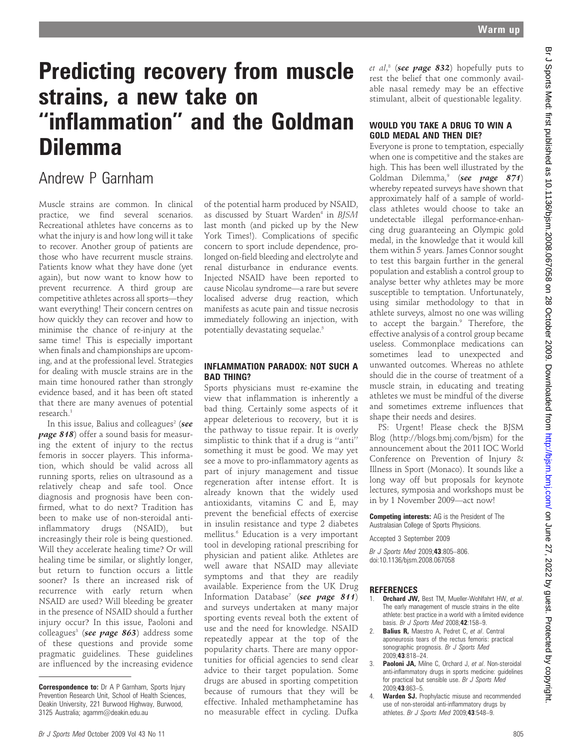# Predicting recovery from muscle strains, a new take on ''inflammation'' and the Goldman Dilemma

## Andrew P Garnham

Muscle strains are common. In clinical practice, we find several scenarios. Recreational athletes have concerns as to what the injury is and how long will it take to recover. Another group of patients are those who have recurrent muscle strains. Patients know what they have done (yet again), but now want to know how to prevent recurrence. A third group are competitive athletes across all sports—they want everything! Their concern centres on how quickly they can recover and how to minimise the chance of re-injury at the same time! This is especially important when finals and championships are upcoming, and at the professional level. Strategies for dealing with muscle strains are in the main time honoured rather than strongly evidence based, and it has been oft stated that there are many avenues of potential research.<sup>1</sup>

In this issue, Balius and colleagues<sup>2</sup> (see page 818) offer a sound basis for measuring the extent of injury to the rectus femoris in soccer players. This information, which should be valid across all running sports, relies on ultrasound as a relatively cheap and safe tool. Once diagnosis and prognosis have been confirmed, what to do next? Tradition has been to make use of non-steroidal antiinflammatory drugs (NSAID), but increasingly their role is being questioned. Will they accelerate healing time? Or will healing time be similar, or slightly longer, but return to function occurs a little sooner? Is there an increased risk of recurrence with early return when NSAID are used? Will bleeding be greater in the presence of NSAID should a further injury occur? In this issue, Paoloni and colleagues<sup>3</sup> (see page  $863$ ) address some of these questions and provide some pragmatic guidelines. These guidelines are influenced by the increasing evidence

of the potential harm produced by NSAID, as discussed by Stuart Warden<sup>4</sup> in BISM last month (and picked up by the New York Times!). Complications of specific concern to sport include dependence, prolonged on-field bleeding and electrolyte and renal disturbance in endurance events. Injected NSAID have been reported to cause Nicolau syndrome—a rare but severe localised adverse drug reaction, which manifests as acute pain and tissue necrosis immediately following an injection, with potentially devastating sequelae.<sup>5</sup>

### INFLAMMATION PARADOX: NOT SUCH A BAD THING?

Sports physicians must re-examine the view that inflammation is inherently a bad thing. Certainly some aspects of it appear deleterious to recovery, but it is the pathway to tissue repair. It is overly simplistic to think that if a drug is ''anti'' something it must be good. We may yet see a move to pro-inflammatory agents as part of injury management and tissue regeneration after intense effort. It is already known that the widely used antioxidants, vitamins C and E, may prevent the beneficial effects of exercise in insulin resistance and type 2 diabetes mellitus.<sup>6</sup> Education is a very important tool in developing rational prescribing for physician and patient alike. Athletes are well aware that NSAID may alleviate symptoms and that they are readily available. Experience from the UK Drug Information Database<sup>7</sup> (see page 811) and surveys undertaken at many major sporting events reveal both the extent of use and the need for knowledge. NSAID repeatedly appear at the top of the popularity charts. There are many opportunities for official agencies to send clear advice to their target population. Some drugs are abused in sporting competition because of rumours that they will be effective. Inhaled methamphetamine has no measurable effect in cycling. Dufka

*et al*,8 (**see page 832**) hopefully puts to rest the belief that one commonly available nasal remedy may be an effective stimulant, albeit of questionable legality.

### WOULD YOU TAKE A DRUG TO WIN A GOLD MEDAL AND THEN DIE?

Everyone is prone to temptation, especially when one is competitive and the stakes are high. This has been well illustrated by the Goldman Dilemma,<sup>9</sup> (see page  $871$ ) whereby repeated surveys have shown that approximately half of a sample of worldclass athletes would choose to take an undetectable illegal performance-enhancing drug guaranteeing an Olympic gold medal, in the knowledge that it would kill them within 5 years. James Connor sought to test this bargain further in the general population and establish a control group to analyse better why athletes may be more susceptible to temptation. Unfortunately, using similar methodology to that in athlete surveys, almost no one was willing to accept the bargain.<sup>9</sup> Therefore, the effective analysis of a control group became useless. Commonplace medications can sometimes lead to unexpected and unwanted outcomes. Whereas no athlete should die in the course of treatment of a muscle strain, in educating and treating athletes we must be mindful of the diverse and sometimes extreme influences that shape their needs and desires.

PS: Urgent! Please check the BJSM Blog (http://blogs.bmj.com/bjsm) for the announcement about the 2011 IOC World Conference on Prevention of Injury & Illness in Sport (Monaco). It sounds like a long way off but proposals for keynote lectures, symposia and workshops must be in by 1 November 2009—act now!

Competing interests: AG is the President of The Australasian College of Sports Physicions.

Accepted 3 September 2009

Br J Sports Med 2009;43:805–806. doi:10.1136/bjsm.2008.067058

### **REFERENCES**

- 1. **Orchard JW**, Best TM, Mueller-Wohlfahrt HW, et al. The early management of muscle strains in the elite athlete: best practice in a world with a limited evidence basis. Br J Sports Med 2008;42:158–9.
- 2. **Balius R, Maestro A, Pedret C, et al. Central** aponeurosis tears of the rectus femoris: practical sonographic prognosis. Br J Sports Med 2009;43:818–24.
- 3. Paoloni JA, Milne C, Orchard J, et al. Non-steroidal anti-inflammatory drugs in sports medicine: guidelines for practical but sensible use. Br J Sports Med 2009;43:863–5.
- 4. Warden SJ. Prophylactic misuse and recommended use of non-steroidal anti-inflammatory drugs by athletes. Br J Sports Med 2009;43:548–9.

**Correspondence to:** Dr A P Garnham, Sports Injury Prevention Research Unit, School of Health Sciences, Deakin University, 221 Burwood Highway, Burwood, 3125 Australia; agamm@deakin.edu.au